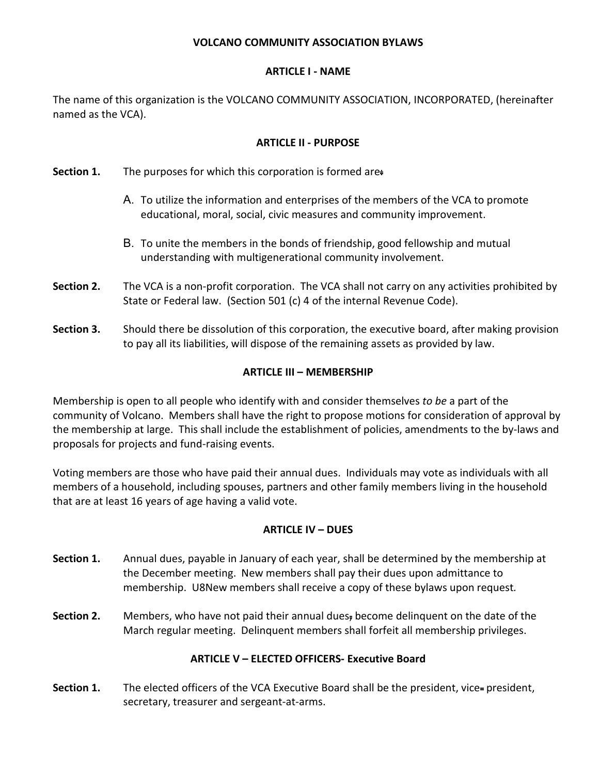### **VOLCANO COMMUNITY ASSOCIATION BYLAWS**

#### **ARTICLE I - NAME**

The name of this organization is the VOLCANO COMMUNITY ASSOCIATION, INCORPORATED, (hereinafter named as the VCA).

### **ARTICLE II - PURPOSE**

- **Section 1.** The purposes for which this corporation is formed are:
	- A. To utilize the information and enterprises of the members of the VCA to promote educational, moral, social, civic measures and community improvement.
	- B. To unite the members in the bonds of friendship, good fellowship and mutual understanding with multigenerational community involvement.
- **Section 2.** The VCA is a non-profit corporation.The VCA shall not carry on any activities prohibited by State or Federal law. (Section 501 (c) 4 of the internal Revenue Code).
- **Section 3.** Should there be dissolution of this corporation, the executive board, after making provision to pay all its liabilities, will dispose of the remaining assets as provided by law.

### **ARTICLE III – MEMBERSHIP**

Membership is open to all people who identify with and consider themselves *to be* a part of the community of Volcano. Members shall have the right to propose motions for consideration of approval by the membership at large. This shall include the establishment of policies, amendments to the by-laws and proposals for projects and fund-raising events.

Voting members are those who have paid their annual dues. Individuals may vote as individuals with all members of a household, including spouses, partners and other family members living in the household that are at least 16 years of age having a valid vote.

# **ARTICLE IV – DUES**

- **Section 1.** Annual dues, payable in January of each year, shall be determined by the membership at the December meeting. New members shall pay their dues upon admittance to membership. U8New members shall receive a copy of these bylaws upon request*.*
- **Section 2.** Members, who have not paid their annual dues, become delinquent on the date of the March regular meeting. Delinquent members shall forfeit all membership privileges.

# **ARTICLE V – ELECTED OFFICERS- Executive Board**

**Section 1.** The elected officers of the VCA Executive Board shall be the president, vice-president, secretary, treasurer and sergeant-at-arms.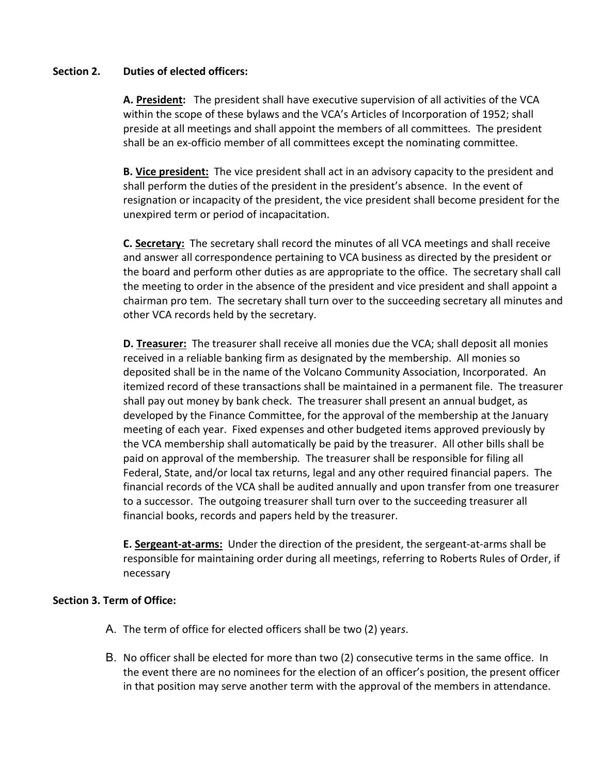#### **Section 2. Duties of elected officers:**

**A. President:** The president shall have executive supervision of all activities of the VCA within the scope of these bylaws and the VCA's Articles of Incorporation of 1952; shall preside at all meetings and shall appoint the members of all committees. The president shall be an ex-officio member of all committees except the nominating committee.

**B. Vice president:** The vice president shall act in an advisory capacity to the president and shall perform the duties of the president in the president's absence. In the event of resignation or incapacity of the president, the vice president shall become president for the unexpired term or period of incapacitation.

**C. Secretary:** The secretary shall record the minutes of all VCA meetings and shall receive and answer all correspondence pertaining to VCA business as directed by the president or the board and perform other duties as are appropriate to the office. The secretary shall call the meeting to order in the absence of the president and vice president and shall appoint a chairman pro tem. The secretary shall turn over to the succeeding secretary all minutes and other VCA records held by the secretary.

**D. Treasurer:** The treasurer shall receive all monies due the VCA; shall deposit all monies received in a reliable banking firm as designated by the membership. All monies so deposited shall be in the name of the Volcano Community Association, Incorporated. An itemized record of these transactions shall be maintained in a permanent file. The treasurer shall pay out money by bank check. The treasurer shall present an annual budget, as developed by the Finance Committee, for the approval of the membership at the January meeting of each year. Fixed expenses and other budgeted items approved previously by the VCA membership shall automatically be paid by the treasurer. All other bills shall be paid on approval of the membership*.* The treasurer shall be responsible for filing all Federal, State, and/or local tax returns, legal and any other required financial papers. The financial records of the VCA shall be audited annually and upon transfer from one treasurer to a successor. The outgoing treasurer shall turn over to the succeeding treasurer all financial books, records and papers held by the treasurer.

**E. Sergeant-at-arms:** Under the direction of the president, the sergeant-at-arms shall be responsible for maintaining order during all meetings, referring to Roberts Rules of Order, if necessary

# **Section 3. Term of Office:**

- A. The term of office for elected officers shall be two (2) year*s*.
- B. No officer shall be elected for more than two (2) consecutive terms in the same office. In the event there are no nominees for the election of an officer's position, the present officer in that position may serve another term with the approval of the members in attendance.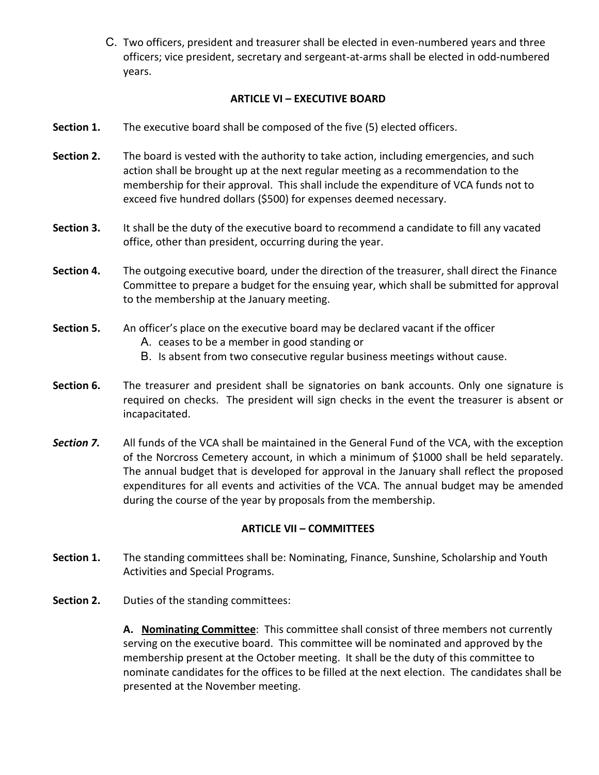C. Two officers, president and treasurer shall be elected in even-numbered years and three officers; vice president, secretary and sergeant-at-arms shall be elected in odd-numbered years.

#### **ARTICLE VI – EXECUTIVE BOARD**

- **Section 1.** The executive board shall be composed of the five (5) elected officers.
- **Section 2.** The board is vested with the authority to take action, including emergencies, and such action shall be brought up at the next regular meeting as a recommendation to the membership for their approval. This shall include the expenditure of VCA funds not to exceed five hundred dollars (\$500) for expenses deemed necessary.
- **Section 3.** It shall be the duty of the executive board to recommend a candidate to fill any vacated office, other than president, occurring during the year.
- **Section 4.** The outgoing executive board*,* under the direction of the treasurer, shall direct the Finance Committee to prepare a budget for the ensuing year, which shall be submitted for approval to the membership at the January meeting.
- **Section 5.** An officer's place on the executive board may be declared vacant if the officer
	- A. ceases to be a member in good standing or
	- B. Is absent from two consecutive regular business meetings without cause.
- **Section 6.** The treasurer and president shall be signatories on bank accounts. Only one signature is required on checks. The president will sign checks in the event the treasurer is absent or incapacitated.
- **Section 7.** All funds of the VCA shall be maintained in the General Fund of the VCA, with the exception of the Norcross Cemetery account, in which a minimum of \$1000 shall be held separately. The annual budget that is developed for approval in the January shall reflect the proposed expenditures for all events and activities of the VCA. The annual budget may be amended during the course of the year by proposals from the membership.

# **ARTICLE VII – COMMITTEES**

- **Section 1.** The standing committees shall be: Nominating, Finance, Sunshine, Scholarship and Youth Activities and Special Programs.
- **Section 2.** Duties of the standing committees:

**A. Nominating Committee**: This committee shall consist of three members not currently serving on the executive board. This committee will be nominated and approved by the membership present at the October meeting. It shall be the duty of this committee to nominate candidates for the offices to be filled at the next election. The candidates shall be presented at the November meeting.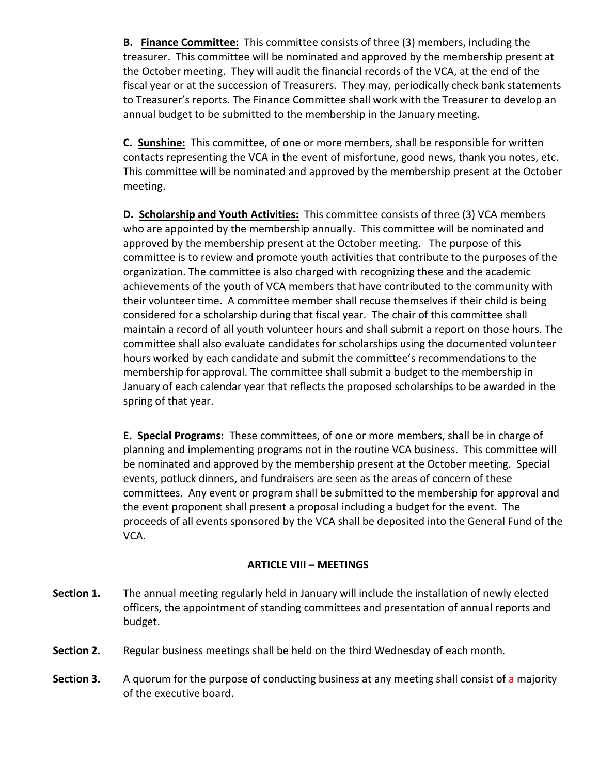**B. Finance Committee:** This committee consists of three (3) members, including the treasurer. This committee will be nominated and approved by the membership present at the October meeting. They will audit the financial records of the VCA, at the end of the fiscal year or at the succession of Treasurers. They may, periodically check bank statements to Treasurer's reports. The Finance Committee shall work with the Treasurer to develop an annual budget to be submitted to the membership in the January meeting.

**C. Sunshine:** This committee, of one or more members, shall be responsible for written contacts representing the VCA in the event of misfortune, good news, thank you notes, etc. This committee will be nominated and approved by the membership present at the October meeting.

**D. Scholarship and Youth Activities:** This committee consists of three (3) VCA members who are appointed by the membership annually. This committee will be nominated and approved by the membership present at the October meeting. The purpose of this committee is to review and promote youth activities that contribute to the purposes of the organization. The committee is also charged with recognizing these and the academic achievements of the youth of VCA members that have contributed to the community with their volunteer time. A committee member shall recuse themselves if their child is being considered for a scholarship during that fiscal year. The chair of this committee shall maintain a record of all youth volunteer hours and shall submit a report on those hours. The committee shall also evaluate candidates for scholarships using the documented volunteer hours worked by each candidate and submit the committee's recommendations to the membership for approval. The committee shall submit a budget to the membership in January of each calendar year that reflects the proposed scholarships to be awarded in the spring of that year.

**E. Special Programs:** These committees, of one or more members, shall be in charge of planning and implementing programs not in the routine VCA business. This committee will be nominated and approved by the membership present at the October meeting.Special events, potluck dinners, and fundraisers are seen as the areas of concern of these committees. Any event or program shall be submitted to the membership for approval and the event proponent shall present a proposal including a budget for the event. The proceeds of all events sponsored by the VCA shall be deposited into the General Fund of the VCA.

#### **ARTICLE VIII – MEETINGS**

- **Section 1.** The annual meeting regularly held in January will include the installation of newly elected officers, the appointment of standing committees and presentation of annual reports and budget.
- **Section 2.** Regular business meetings shall be held on the third Wednesday of each month*.*
- **Section 3.** A quorum for the purpose of conducting business at any meeting shall consist of a majority of the executive board.